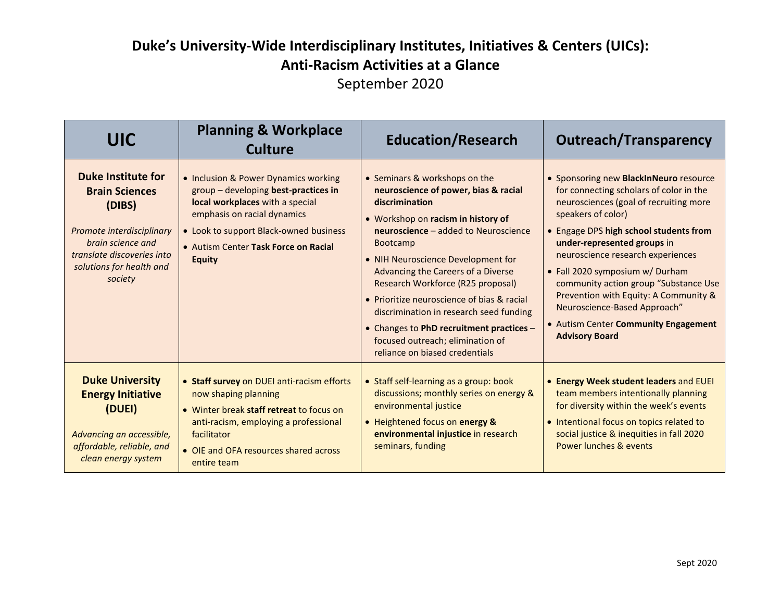| <b>UIC</b>                                                                                                                                                                          | <b>Planning &amp; Workplace</b><br><b>Culture</b>                                                                                                                                                                                                 | <b>Education/Research</b>                                                                                                                                                                                                                                                                                                                                                                                                                                                                                            | <b>Outreach/Transparency</b>                                                                                                                                                                                                                                                                                                                                                                                                                                                          |
|-------------------------------------------------------------------------------------------------------------------------------------------------------------------------------------|---------------------------------------------------------------------------------------------------------------------------------------------------------------------------------------------------------------------------------------------------|----------------------------------------------------------------------------------------------------------------------------------------------------------------------------------------------------------------------------------------------------------------------------------------------------------------------------------------------------------------------------------------------------------------------------------------------------------------------------------------------------------------------|---------------------------------------------------------------------------------------------------------------------------------------------------------------------------------------------------------------------------------------------------------------------------------------------------------------------------------------------------------------------------------------------------------------------------------------------------------------------------------------|
| <b>Duke Institute for</b><br><b>Brain Sciences</b><br>(DIBS)<br>Promote interdisciplinary<br>brain science and<br>translate discoveries into<br>solutions for health and<br>society | • Inclusion & Power Dynamics working<br>group - developing best-practices in<br>local workplaces with a special<br>emphasis on racial dynamics<br>• Look to support Black-owned business<br>• Autism Center Task Force on Racial<br><b>Equity</b> | • Seminars & workshops on the<br>neuroscience of power, bias & racial<br>discrimination<br>• Workshop on racism in history of<br>neuroscience - added to Neuroscience<br><b>Bootcamp</b><br>• NIH Neuroscience Development for<br>Advancing the Careers of a Diverse<br>Research Workforce (R25 proposal)<br>• Prioritize neuroscience of bias & racial<br>discrimination in research seed funding<br>• Changes to PhD recruitment practices -<br>focused outreach; elimination of<br>reliance on biased credentials | • Sponsoring new BlackInNeuro resource<br>for connecting scholars of color in the<br>neurosciences (goal of recruiting more<br>speakers of color)<br>• Engage DPS high school students from<br>under-represented groups in<br>neuroscience research experiences<br>• Fall 2020 symposium w/ Durham<br>community action group "Substance Use<br>Prevention with Equity: A Community &<br>Neuroscience-Based Approach"<br>• Autism Center Community Engagement<br><b>Advisory Board</b> |
| <b>Duke University</b><br><b>Energy Initiative</b><br>(DUEI)<br>Advancing an accessible,<br>affordable, reliable, and<br>clean energy system                                        | • Staff survey on DUEI anti-racism efforts<br>now shaping planning<br>• Winter break staff retreat to focus on<br>anti-racism, employing a professional<br>facilitator<br>• OIE and OFA resources shared across<br>entire team                    | • Staff self-learning as a group: book<br>discussions; monthly series on energy &<br>environmental justice<br>• Heightened focus on energy &<br>environmental injustice in research<br>seminars, funding                                                                                                                                                                                                                                                                                                             | • Energy Week student leaders and EUEI<br>team members intentionally planning<br>for diversity within the week's events<br>• Intentional focus on topics related to<br>social justice & inequities in fall 2020<br>Power lunches & events                                                                                                                                                                                                                                             |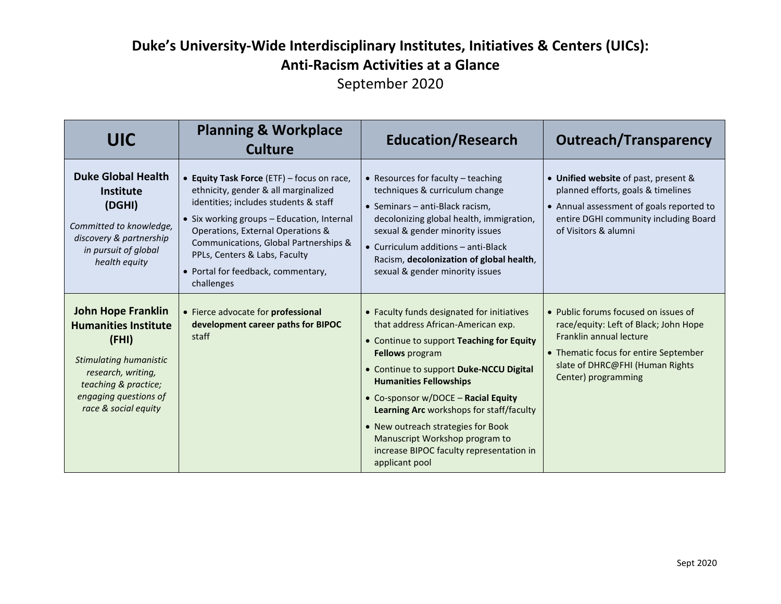| <b>UIC</b>                                                                                                                                                                                        | <b>Planning &amp; Workplace</b><br><b>Culture</b>                                                                                                                                                                                                                                                                                            | <b>Education/Research</b>                                                                                                                                                                                                                                                                                                                                                                                                                                    | <b>Outreach/Transparency</b>                                                                                                                                                                                |
|---------------------------------------------------------------------------------------------------------------------------------------------------------------------------------------------------|----------------------------------------------------------------------------------------------------------------------------------------------------------------------------------------------------------------------------------------------------------------------------------------------------------------------------------------------|--------------------------------------------------------------------------------------------------------------------------------------------------------------------------------------------------------------------------------------------------------------------------------------------------------------------------------------------------------------------------------------------------------------------------------------------------------------|-------------------------------------------------------------------------------------------------------------------------------------------------------------------------------------------------------------|
| <b>Duke Global Health</b><br><b>Institute</b><br>(DGHI)<br>Committed to knowledge,<br>discovery & partnership<br>in pursuit of global<br>health equity                                            | • Equity Task Force (ETF) - focus on race,<br>ethnicity, gender & all marginalized<br>identities; includes students & staff<br>• Six working groups - Education, Internal<br>Operations, External Operations &<br>Communications, Global Partnerships &<br>PPLs, Centers & Labs, Faculty<br>• Portal for feedback, commentary,<br>challenges | • Resources for faculty - teaching<br>techniques & curriculum change<br>• Seminars - anti-Black racism,<br>decolonizing global health, immigration,<br>sexual & gender minority issues<br>$\bullet$ Curriculum additions $-$ anti-Black<br>Racism, decolonization of global health,<br>sexual & gender minority issues                                                                                                                                       | • Unified website of past, present &<br>planned efforts, goals & timelines<br>• Annual assessment of goals reported to<br>entire DGHI community including Board<br>of Visitors & alumni                     |
| <b>John Hope Franklin</b><br><b>Humanities Institute</b><br>(FHI)<br><b>Stimulating humanistic</b><br>research, writing,<br>teaching & practice;<br>engaging questions of<br>race & social equity | • Fierce advocate for professional<br>development career paths for BIPOC<br>staff                                                                                                                                                                                                                                                            | • Faculty funds designated for initiatives<br>that address African-American exp.<br>• Continue to support Teaching for Equity<br><b>Fellows</b> program<br>• Continue to support Duke-NCCU Digital<br><b>Humanities Fellowships</b><br>• Co-sponsor w/DOCE - Racial Equity<br>Learning Arc workshops for staff/faculty<br>• New outreach strategies for Book<br>Manuscript Workshop program to<br>increase BIPOC faculty representation in<br>applicant pool | • Public forums focused on issues of<br>race/equity: Left of Black; John Hope<br>Franklin annual lecture<br>• Thematic focus for entire September<br>slate of DHRC@FHI (Human Rights<br>Center) programming |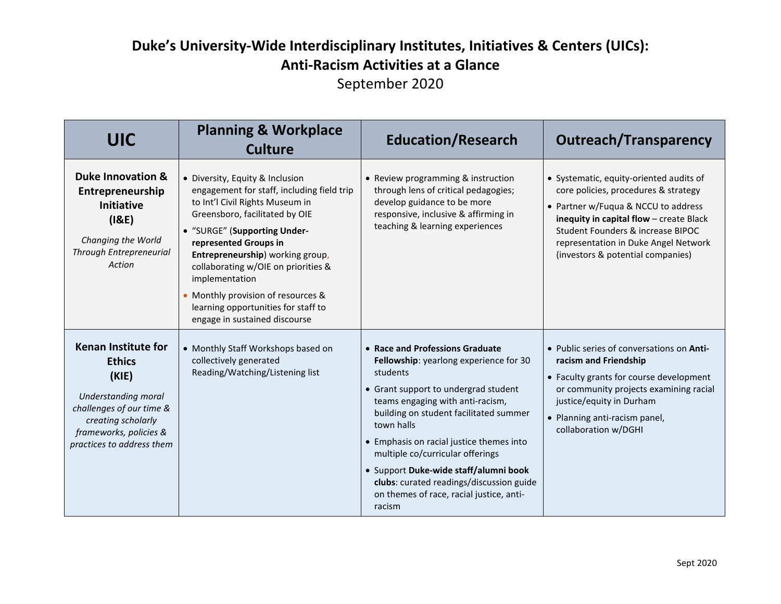| <b>UIC</b>                                                                                                                                                                           | <b>Planning &amp; Workplace</b><br><b>Culture</b>                                                                                                                                                                                                                                                                                                                                                                    | <b>Education/Research</b>                                                                                                                                                                                                                                                                                                                                                                                                                            | <b>Outreach/Transparency</b>                                                                                                                                                                                                                                                        |
|--------------------------------------------------------------------------------------------------------------------------------------------------------------------------------------|----------------------------------------------------------------------------------------------------------------------------------------------------------------------------------------------------------------------------------------------------------------------------------------------------------------------------------------------------------------------------------------------------------------------|------------------------------------------------------------------------------------------------------------------------------------------------------------------------------------------------------------------------------------------------------------------------------------------------------------------------------------------------------------------------------------------------------------------------------------------------------|-------------------------------------------------------------------------------------------------------------------------------------------------------------------------------------------------------------------------------------------------------------------------------------|
| <b>Duke Innovation &amp;</b><br>Entrepreneurship<br><b>Initiative</b><br>(18E)<br>Changing the World<br><b>Through Entrepreneurial</b><br>Action                                     | • Diversity, Equity & Inclusion<br>engagement for staff, including field trip<br>to Int'l Civil Rights Museum in<br>Greensboro, facilitated by OIE<br>• "SURGE" (Supporting Under-<br>represented Groups in<br>Entrepreneurship) working group,<br>collaborating w/OIE on priorities &<br>implementation<br>Monthly provision of resources &<br>learning opportunities for staff to<br>engage in sustained discourse | • Review programming & instruction<br>through lens of critical pedagogies;<br>develop guidance to be more<br>responsive, inclusive & affirming in<br>teaching & learning experiences                                                                                                                                                                                                                                                                 | • Systematic, equity-oriented audits of<br>core policies, procedures & strategy<br>• Partner w/Fuqua & NCCU to address<br>inequity in capital flow - create Black<br>Student Founders & increase BIPOC<br>representation in Duke Angel Network<br>(investors & potential companies) |
| <b>Kenan Institute for</b><br><b>Ethics</b><br>(KIE)<br>Understanding moral<br>challenges of our time &<br>creating scholarly<br>frameworks, policies &<br>practices to address them | • Monthly Staff Workshops based on<br>collectively generated<br>Reading/Watching/Listening list                                                                                                                                                                                                                                                                                                                      | • Race and Professions Graduate<br>Fellowship: yearlong experience for 30<br>students<br>• Grant support to undergrad student<br>teams engaging with anti-racism,<br>building on student facilitated summer<br>town halls<br>• Emphasis on racial justice themes into<br>multiple co/curricular offerings<br>· Support Duke-wide staff/alumni book<br>clubs: curated readings/discussion guide<br>on themes of race, racial justice, anti-<br>racism | • Public series of conversations on Anti-<br>racism and Friendship<br>• Faculty grants for course development<br>or community projects examining racial<br>justice/equity in Durham<br>• Planning anti-racism panel,<br>collaboration w/DGHI                                        |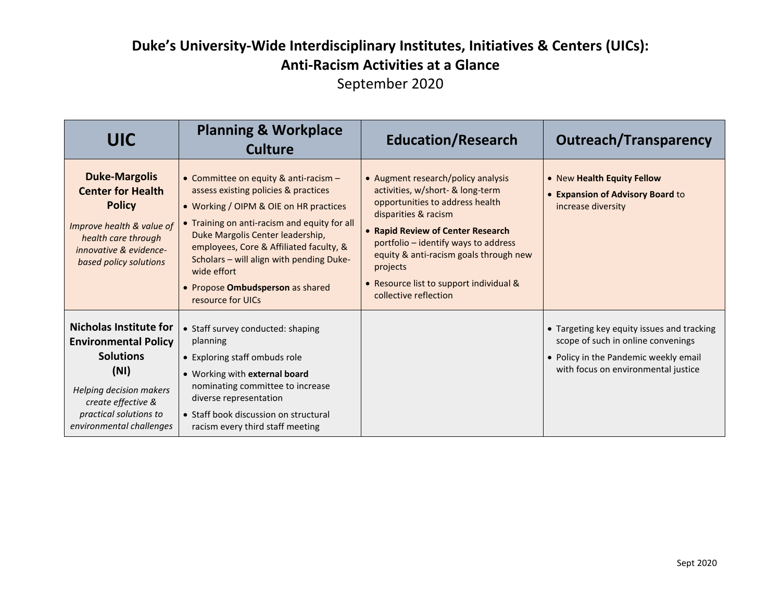| <b>UIC</b>                                                                                                                                                                                      | <b>Planning &amp; Workplace</b><br><b>Culture</b>                                                                                                                                                                                                                                                                                                                          | <b>Education/Research</b>                                                                                                                                                                                                                                                                                                                | <b>Outreach/Transparency</b>                                                                                                                                     |
|-------------------------------------------------------------------------------------------------------------------------------------------------------------------------------------------------|----------------------------------------------------------------------------------------------------------------------------------------------------------------------------------------------------------------------------------------------------------------------------------------------------------------------------------------------------------------------------|------------------------------------------------------------------------------------------------------------------------------------------------------------------------------------------------------------------------------------------------------------------------------------------------------------------------------------------|------------------------------------------------------------------------------------------------------------------------------------------------------------------|
| <b>Duke-Margolis</b><br><b>Center for Health</b><br><b>Policy</b><br>Improve health & value of<br>health care through<br>innovative & evidence-<br>based policy solutions                       | • Committee on equity & anti-racism -<br>assess existing policies & practices<br>• Working / OIPM & OIE on HR practices<br>• Training on anti-racism and equity for all<br>Duke Margolis Center leadership,<br>employees, Core & Affiliated faculty, &<br>Scholars - will align with pending Duke-<br>wide effort<br>• Propose Ombudsperson as shared<br>resource for UICs | • Augment research/policy analysis<br>activities, w/short- & long-term<br>opportunities to address health<br>disparities & racism<br>• Rapid Review of Center Research<br>portfolio - identify ways to address<br>equity & anti-racism goals through new<br>projects<br>• Resource list to support individual &<br>collective reflection | • New Health Equity Fellow<br><b>.</b> Expansion of Advisory Board to<br>increase diversity                                                                      |
| <b>Nicholas Institute for</b><br><b>Environmental Policy</b><br><b>Solutions</b><br>(NI)<br>Helping decision makers<br>create effective &<br>practical solutions to<br>environmental challenges | • Staff survey conducted: shaping<br>planning<br>• Exploring staff ombuds role<br>• Working with external board<br>nominating committee to increase<br>diverse representation<br>• Staff book discussion on structural<br>racism every third staff meeting                                                                                                                 |                                                                                                                                                                                                                                                                                                                                          | • Targeting key equity issues and tracking<br>scope of such in online convenings<br>• Policy in the Pandemic weekly email<br>with focus on environmental justice |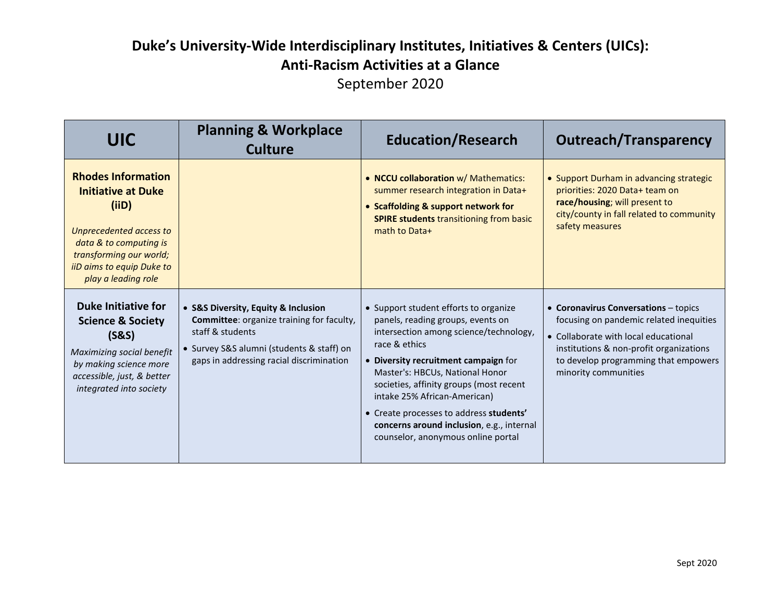| <b>UIC</b>                                                                                                                                                                                          | <b>Planning &amp; Workplace</b><br><b>Culture</b>                                                                                                                                                    | <b>Education/Research</b>                                                                                                                                                                                                                                                                                                                                                                                                 | <b>Outreach/Transparency</b>                                                                                                                                                                                                       |
|-----------------------------------------------------------------------------------------------------------------------------------------------------------------------------------------------------|------------------------------------------------------------------------------------------------------------------------------------------------------------------------------------------------------|---------------------------------------------------------------------------------------------------------------------------------------------------------------------------------------------------------------------------------------------------------------------------------------------------------------------------------------------------------------------------------------------------------------------------|------------------------------------------------------------------------------------------------------------------------------------------------------------------------------------------------------------------------------------|
| <b>Rhodes Information</b><br><b>Initiative at Duke</b><br>(iID)<br>Unprecedented access to<br>data & to computing is<br>transforming our world;<br>iiD aims to equip Duke to<br>play a leading role |                                                                                                                                                                                                      | • NCCU collaboration w/ Mathematics:<br>summer research integration in Data+<br>• Scaffolding & support network for<br><b>SPIRE students transitioning from basic</b><br>math to Data+                                                                                                                                                                                                                                    | • Support Durham in advancing strategic<br>priorities: 2020 Data+ team on<br>race/housing; will present to<br>city/county in fall related to community<br>safety measures                                                          |
| <b>Duke Initiative for</b><br><b>Science &amp; Society</b><br>(S&S)<br>Maximizing social benefit<br>by making science more<br>accessible, just, & better<br>integrated into society                 | • S&S Diversity, Equity & Inclusion<br><b>Committee:</b> organize training for faculty,<br>staff & students<br>· Survey S&S alumni (students & staff) on<br>gaps in addressing racial discrimination | • Support student efforts to organize<br>panels, reading groups, events on<br>intersection among science/technology,<br>race & ethics<br>• Diversity recruitment campaign for<br>Master's: HBCUs, National Honor<br>societies, affinity groups (most recent<br>intake 25% African-American)<br>• Create processes to address students'<br>concerns around inclusion, e.g., internal<br>counselor, anonymous online portal | • Coronavirus Conversations - topics<br>focusing on pandemic related inequities<br>• Collaborate with local educational<br>institutions & non-profit organizations<br>to develop programming that empowers<br>minority communities |